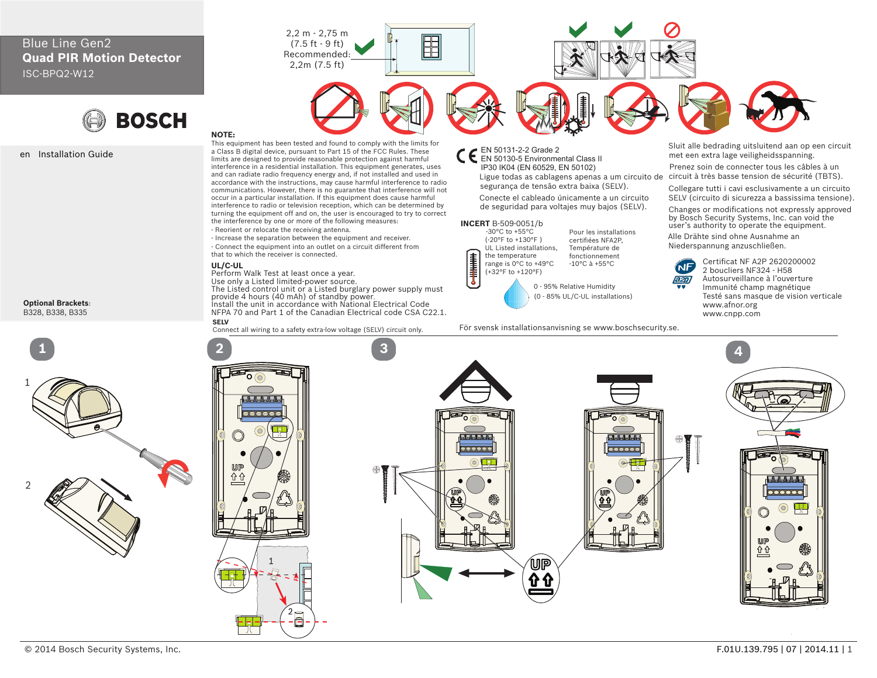# Blue Line Gen2 **Quad PIR Motion Detector** ISC-BPQ2-W12



## en Installation Guide

**Optional Brackets**: B328, B338, B335





同

#### **NOTE:** This equipment has been tested and found to comply with the limits for a Class B digital device, pursuant to Part 15 of the FCC Rules. These limits are designed to provide reasonable protection against harmful interference in a residential installation. This equipment generates, uses and can radiate radio frequency energy and, if not installed and used in accordance with the instructions, may cause harmful interference to radio communications. However, there is no guarantee that interference will not occur in a particular installation. If this equipment does cause harmful interference to radio or television reception, which can be determined by turning the equipment off and on, the user is encouraged to try to correct the interference by one or more of the following measures:

- Reorient or relocate the receiving antenna.

- Increase the separation between the equipment and receiver. - Connect the equipment into an outlet on a circuit different from that to which the receiver is connected.

2,2 m - 2,75 m (7.5 ft - 9 ft) Recommended: 2,2m (7.5 ft)

## **UL/C-UL**

Perform Walk Test at least once a year. Use only a Listed limited-power source. The Listed control unit or a Listed burglary power supply must provide 4 hours (40 mAh) of standby power. Install the unit in accordance with National Electrical Code NFPA 70 and Part 1 of the Canadian Electrical code CSA C22.1.

Connect all wiring to a safety extra-low voltage (SELV) circuit only.



E

Ligue todas as cablagens apenas a um circuito de circuit à très basse tension de sécurité (TBTS). segurança de tensão extra baixa (SELV). IP30 IK04 (EN 60529, EN 50102)

Conecte el cableado únicamente a un circuito de seguridad para voltajes muy bajos (SELV).

### **INCERT** B-509-0051/b

**IELET** 

 (-20°F to +130°F ) UL Listed installations, the temperature range is 0°C to +49°C (+32°F to +120°F)

0 - 95% Relative Humidity (0 - 85% UL/C-UL installations)

Pour les installations certifiées NFA2P, Température de fonctionnement -10°C à +55°C

För svensk installationsanvisning se www.boschsecurity.se.

Sluit alle bedrading uitsluitend aan op een circuit met een extra lage veiligheidsspanning.

Prenez soin de connecter tous les câbles à un

Collegare tutti i cavi esclusivamente a un circuito SELV (circuito di sicurezza a bassissima tensione).

Changes or modifications not expressly approved by Bosch Security Systems, Inc. can void the  $\begin{array}{ll}\n\Pi \text{ B-509-0051/b} \\
\text{B-509-0051/b} \\
\text{Fourier's authority to operate the equipment.} \\
\end{array}$ 

Alle Drähte sind ohne Ausnahme an Niederspannung anzuschließen.



Certificat NF A2P 2620200002 2 boucliers NF324 - H58 Autosurveillance à l'ouverture Immunité champ magnétique Testé sans masque de vision verticale www.afnor.org www.cnpp.com